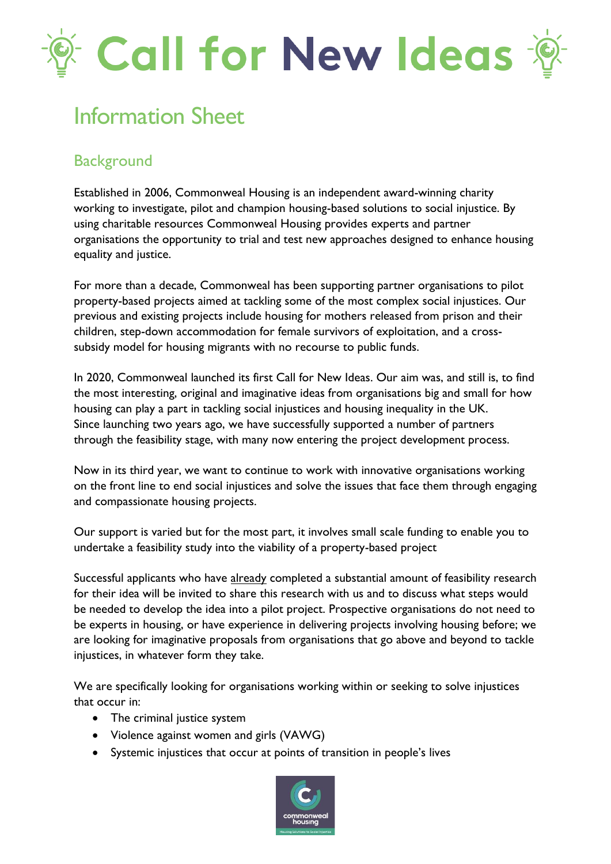# Call for New Ideas

## Information Sheet

## **Background**

Established in 2006, Commonweal Housing is an independent award-winning charity working to investigate, pilot and champion housing-based solutions to social injustice. By using charitable resources Commonweal Housing provides experts and partner organisations the opportunity to trial and test new approaches designed to enhance housing equality and justice.

For more than a decade, Commonweal has been supporting partner organisations to pilot property-based projects aimed at tackling some of the most complex social injustices. Our previous and existing projects include housing for mothers released from prison and their children, step-down accommodation for female survivors of exploitation, and a crosssubsidy model for housing migrants with no recourse to public funds.

In 2020, Commonweal launched its first Call for New Ideas. Our aim was, and still is, to find the most interesting, original and imaginative ideas from organisations big and small for how housing can play a part in tackling social injustices and housing inequality in the UK. Since launching two years ago, we have successfully supported a number of partners through the feasibility stage, with many now entering the project development process.

Now in its third year, we want to continue to work with innovative organisations working on the front line to end social injustices and solve the issues that face them through engaging and compassionate housing projects.

Our support is varied but for the most part, it involves small scale funding to enable you to undertake a feasibility study into the viability of a property-based project

Successful applicants who have already completed a substantial amount of feasibility research for their idea will be invited to share this research with us and to discuss what steps would be needed to develop the idea into a pilot project. Prospective organisations do not need to be experts in housing, or have experience in delivering projects involving housing before; we are looking for imaginative proposals from organisations that go above and beyond to tackle injustices, in whatever form they take.

We are specifically looking for organisations working within or seeking to solve injustices that occur in:

- The criminal justice system
- Violence against women and girls (VAWG)
- Systemic injustices that occur at points of transition in people's lives

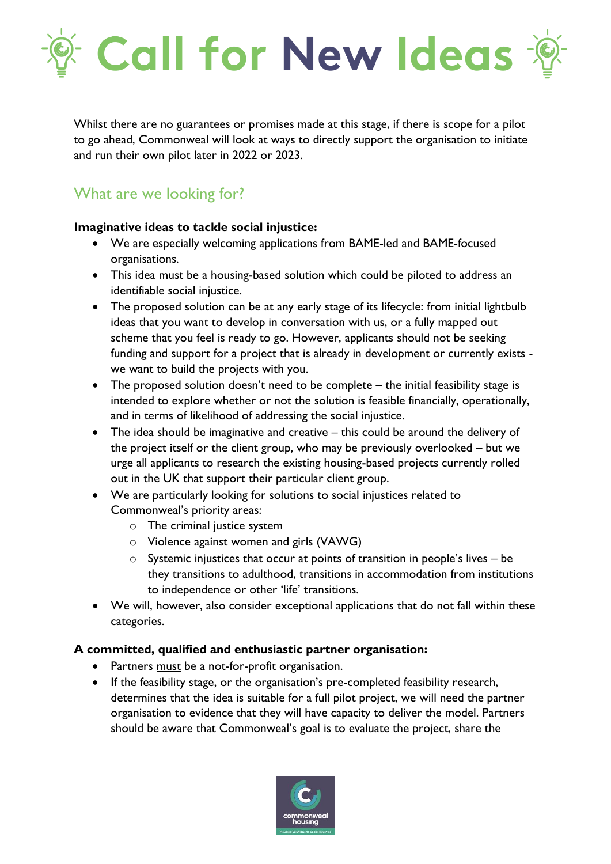

Whilst there are no guarantees or promises made at this stage, if there is scope for a pilot to go ahead, Commonweal will look at ways to directly support the organisation to initiate and run their own pilot later in 2022 or 2023.

## What are we looking for?

#### **Imaginative ideas to tackle social injustice:**

- We are especially welcoming applications from BAME-led and BAME-focused organisations.
- This idea must be a housing-based solution which could be piloted to address an identifiable social injustice.
- The proposed solution can be at any early stage of its lifecycle: from initial lightbulb ideas that you want to develop in conversation with us, or a fully mapped out scheme that you feel is ready to go. However, applicants should not be seeking funding and support for a project that is already in development or currently exists we want to build the projects with you.
- The proposed solution doesn't need to be complete the initial feasibility stage is intended to explore whether or not the solution is feasible financially, operationally, and in terms of likelihood of addressing the social injustice.
- The idea should be imaginative and creative this could be around the delivery of the project itself or the client group, who may be previously overlooked – but we urge all applicants to research the existing housing-based projects currently rolled out in the UK that support their particular client group.
- We are particularly looking for solutions to social injustices related to Commonweal's priority areas:
	- o The criminal justice system
	- o Violence against women and girls (VAWG)
	- o Systemic injustices that occur at points of transition in people's lives be they transitions to adulthood, transitions in accommodation from institutions to independence or other 'life' transitions.
- We will, however, also consider exceptional applications that do not fall within these categories.

### **A committed, qualified and enthusiastic partner organisation:**

- Partners must be a not-for-profit organisation.
- If the feasibility stage, or the organisation's pre-completed feasibility research, determines that the idea is suitable for a full pilot project, we will need the partner organisation to evidence that they will have capacity to deliver the model. Partners should be aware that Commonweal's goal is to evaluate the project, share the

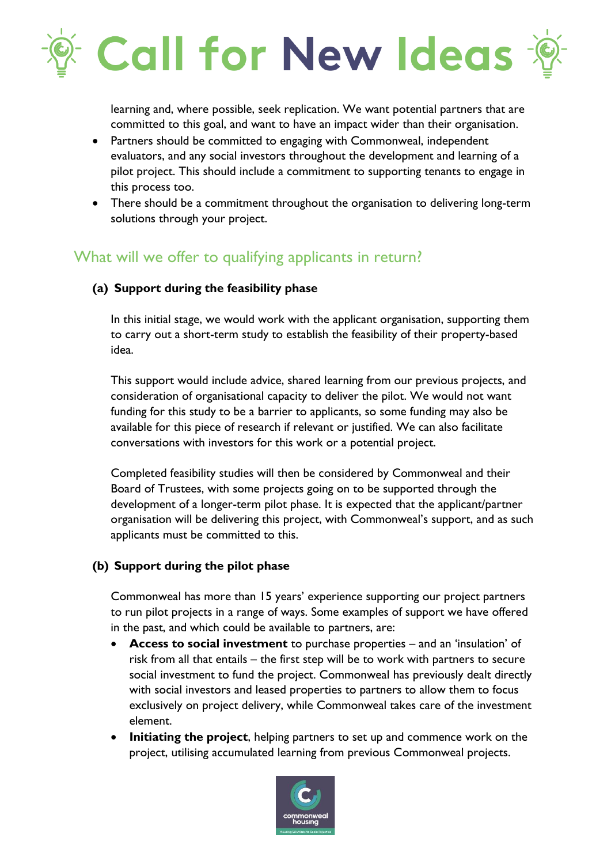

learning and, where possible, seek replication. We want potential partners that are committed to this goal, and want to have an impact wider than their organisation.

- Partners should be committed to engaging with Commonweal, independent evaluators, and any social investors throughout the development and learning of a pilot project. This should include a commitment to supporting tenants to engage in this process too.
- There should be a commitment throughout the organisation to delivering long-term solutions through your project.

## What will we offer to qualifying applicants in return?

### **(a) Support during the feasibility phase**

In this initial stage, we would work with the applicant organisation, supporting them to carry out a short-term study to establish the feasibility of their property-based idea.

This support would include advice, shared learning from our previous projects, and consideration of organisational capacity to deliver the pilot. We would not want funding for this study to be a barrier to applicants, so some funding may also be available for this piece of research if relevant or justified. We can also facilitate conversations with investors for this work or a potential project.

Completed feasibility studies will then be considered by Commonweal and their Board of Trustees, with some projects going on to be supported through the development of a longer-term pilot phase. It is expected that the applicant/partner organisation will be delivering this project, with Commonweal's support, and as such applicants must be committed to this.

### **(b) Support during the pilot phase**

Commonweal has more than 15 years' experience supporting our project partners to run pilot projects in a range of ways. Some examples of support we have offered in the past, and which could be available to partners, are:

- **Access to social investment** to purchase properties and an 'insulation' of risk from all that entails – the first step will be to work with partners to secure social investment to fund the project. Commonweal has previously dealt directly with social investors and leased properties to partners to allow them to focus exclusively on project delivery, while Commonweal takes care of the investment element.
- **Initiating the project**, helping partners to set up and commence work on the project, utilising accumulated learning from previous Commonweal projects.

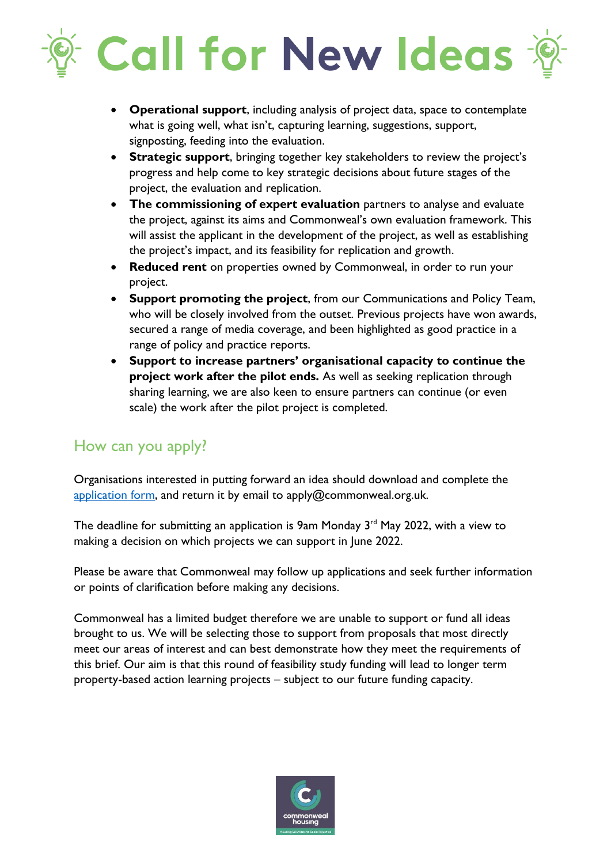## **Call for New Ideas -**

- **Operational support**, including analysis of project data, space to contemplate what is going well, what isn't, capturing learning, suggestions, support, signposting, feeding into the evaluation.
- **Strategic support**, bringing together key stakeholders to review the project's progress and help come to key strategic decisions about future stages of the project, the evaluation and replication.
- **The commissioning of expert evaluation** partners to analyse and evaluate the project, against its aims and Commonweal's own evaluation framework. This will assist the applicant in the development of the project, as well as establishing the project's impact, and its feasibility for replication and growth.
- **Reduced rent** on properties owned by Commonweal, in order to run your project.
- **Support promoting the project**, from our Communications and Policy Team, who will be closely involved from the outset. Previous projects have won awards, secured a range of media coverage, and been highlighted as good practice in a range of policy and practice reports.
- **Support to increase partners' organisational capacity to continue the project work after the pilot ends.** As well as seeking replication through sharing learning, we are also keen to ensure partners can continue (or even scale) the work after the pilot project is completed.

## How can you apply?

Organisations interested in putting forward an idea should download and complete the [application form,](https://www.commonwealhousing.org.uk/static/uploads/2022/02/Call-for-New-Ideas-2022-application-form.docx) and return it by email to apply@commonweal.org.uk.

The deadline for submitting an application is 9am Monday  $3<sup>rd</sup>$  May 2022, with a view to making a decision on which projects we can support in June 2022.

Please be aware that Commonweal may follow up applications and seek further information or points of clarification before making any decisions.

Commonweal has a limited budget therefore we are unable to support or fund all ideas brought to us. We will be selecting those to support from proposals that most directly meet our areas of interest and can best demonstrate how they meet the requirements of this brief. Our aim is that this round of feasibility study funding will lead to longer term property-based action learning projects – subject to our future funding capacity.